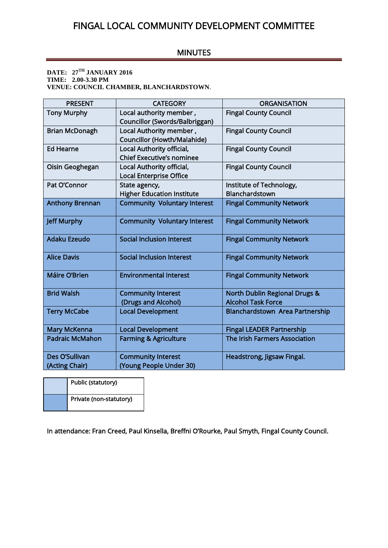## FINGAL LOCAL COMMUNITY DEVELOPMENT COMMITTEE

## MINUTES

**DATE: 27TH JANUARY 2016 TIME: 2.00-3.30 PM VENUE: COUNCIL CHAMBER, BLANCHARDSTOWN**.

| <b>PRESENT</b>         | <b>CATEGORY</b>                     | <b>ORGANISATION</b>                      |  |  |
|------------------------|-------------------------------------|------------------------------------------|--|--|
| <b>Tony Murphy</b>     | Local authority member,             | <b>Fingal County Council</b>             |  |  |
|                        | Councillor (Swords/Balbriggan)      |                                          |  |  |
| <b>Brian McDonagh</b>  | Local Authority member,             | <b>Fingal County Council</b>             |  |  |
|                        | <b>Councillor (Howth/Malahide)</b>  |                                          |  |  |
| <b>Ed Hearne</b>       | Local Authority official,           | <b>Fingal County Council</b>             |  |  |
|                        | <b>Chief Executive's nominee</b>    |                                          |  |  |
| Oisin Geoghegan        | Local Authority official,           | <b>Fingal County Council</b>             |  |  |
|                        | <b>Local Enterprise Office</b>      |                                          |  |  |
| Pat O'Connor           | State agency,                       | Institute of Technology,                 |  |  |
|                        | <b>Higher Education Institute</b>   | Blanchardstown                           |  |  |
| <b>Anthony Brennan</b> | <b>Community Voluntary Interest</b> | <b>Fingal Community Network</b>          |  |  |
| <b>Jeff Murphy</b>     | <b>Community Voluntary Interest</b> | <b>Fingal Community Network</b>          |  |  |
| Adaku Ezeudo           | <b>Social Inclusion Interest</b>    | <b>Fingal Community Network</b>          |  |  |
| <b>Alice Davis</b>     | <b>Social Inclusion Interest</b>    | <b>Fingal Community Network</b>          |  |  |
| Máire O'Brien          | <b>Environmental Interest</b>       | <b>Fingal Community Network</b>          |  |  |
| <b>Brid Walsh</b>      | <b>Community Interest</b>           | <b>North Dublin Regional Drugs &amp;</b> |  |  |
|                        | (Drugs and Alcohol)                 | <b>Alcohol Task Force</b>                |  |  |
| <b>Terry McCabe</b>    | <b>Local Development</b>            | Blanchardstown Area Partnership          |  |  |
| <b>Mary McKenna</b>    | <b>Local Development</b>            | <b>Fingal LEADER Partnership</b>         |  |  |
| <b>Padraic McMahon</b> | <b>Farming &amp; Agriculture</b>    | The Irish Farmers Association            |  |  |
| Des O'Sullivan         | <b>Community Interest</b>           | Headstrong, Jigsaw Fingal.               |  |  |
| (Acting Chair)         | (Young People Under 30)             |                                          |  |  |

| Public (statutory)      |  |
|-------------------------|--|
| Private (non-statutory) |  |

In attendance: Fran Creed, Paul Kinsella, Breffni O'Rourke, Paul Smyth, Fingal County Council.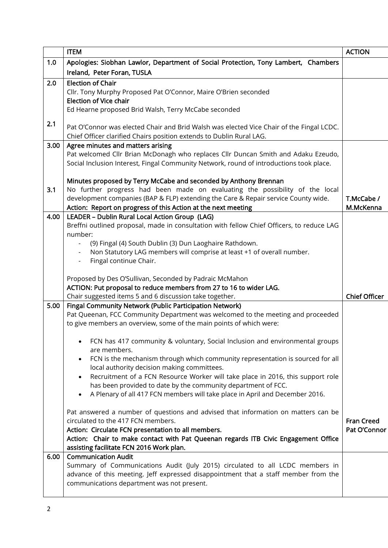| Apologies: Siobhan Lawlor, Department of Social Protection, Tony Lambert, Chambers<br>1.0<br>Ireland, Peter Foran, TUSLA<br>2.0<br><b>Election of Chair</b><br>Cllr. Tony Murphy Proposed Pat O'Connor, Maire O'Brien seconded<br><b>Election of Vice chair</b><br>Ed Hearne proposed Brid Walsh, Terry McCabe seconded<br>2.1<br>Pat O'Connor was elected Chair and Brid Walsh was elected Vice Chair of the Fingal LCDC.<br>Chief Officer clarified Chairs position extends to Dublin Rural LAG.<br>3.00   Agree minutes and matters arising<br>Pat welcomed Cllr Brian McDonagh who replaces Cllr Duncan Smith and Adaku Ezeudo,<br>Social Inclusion Interest, Fingal Community Network, round of introductions took place. |
|--------------------------------------------------------------------------------------------------------------------------------------------------------------------------------------------------------------------------------------------------------------------------------------------------------------------------------------------------------------------------------------------------------------------------------------------------------------------------------------------------------------------------------------------------------------------------------------------------------------------------------------------------------------------------------------------------------------------------------|
|                                                                                                                                                                                                                                                                                                                                                                                                                                                                                                                                                                                                                                                                                                                                |
|                                                                                                                                                                                                                                                                                                                                                                                                                                                                                                                                                                                                                                                                                                                                |
|                                                                                                                                                                                                                                                                                                                                                                                                                                                                                                                                                                                                                                                                                                                                |
|                                                                                                                                                                                                                                                                                                                                                                                                                                                                                                                                                                                                                                                                                                                                |
|                                                                                                                                                                                                                                                                                                                                                                                                                                                                                                                                                                                                                                                                                                                                |
|                                                                                                                                                                                                                                                                                                                                                                                                                                                                                                                                                                                                                                                                                                                                |
|                                                                                                                                                                                                                                                                                                                                                                                                                                                                                                                                                                                                                                                                                                                                |
|                                                                                                                                                                                                                                                                                                                                                                                                                                                                                                                                                                                                                                                                                                                                |
|                                                                                                                                                                                                                                                                                                                                                                                                                                                                                                                                                                                                                                                                                                                                |
|                                                                                                                                                                                                                                                                                                                                                                                                                                                                                                                                                                                                                                                                                                                                |
|                                                                                                                                                                                                                                                                                                                                                                                                                                                                                                                                                                                                                                                                                                                                |
|                                                                                                                                                                                                                                                                                                                                                                                                                                                                                                                                                                                                                                                                                                                                |
|                                                                                                                                                                                                                                                                                                                                                                                                                                                                                                                                                                                                                                                                                                                                |
| Minutes proposed by Terry McCabe and seconded by Anthony Brennan                                                                                                                                                                                                                                                                                                                                                                                                                                                                                                                                                                                                                                                               |
| No further progress had been made on evaluating the possibility of the local<br>3.1                                                                                                                                                                                                                                                                                                                                                                                                                                                                                                                                                                                                                                            |
| development companies (BAP & FLP) extending the Care & Repair service County wide.<br>T.McCabe /                                                                                                                                                                                                                                                                                                                                                                                                                                                                                                                                                                                                                               |
| Action: Report on progress of this Action at the next meeting<br>M.McKenna                                                                                                                                                                                                                                                                                                                                                                                                                                                                                                                                                                                                                                                     |
| LEADER - Dublin Rural Local Action Group (LAG)<br>4.00                                                                                                                                                                                                                                                                                                                                                                                                                                                                                                                                                                                                                                                                         |
| Breffni outlined proposal, made in consultation with fellow Chief Officers, to reduce LAG<br>number:                                                                                                                                                                                                                                                                                                                                                                                                                                                                                                                                                                                                                           |
| (9) Fingal (4) South Dublin (3) Dun Laoghaire Rathdown.                                                                                                                                                                                                                                                                                                                                                                                                                                                                                                                                                                                                                                                                        |
| Non Statutory LAG members will comprise at least +1 of overall number.                                                                                                                                                                                                                                                                                                                                                                                                                                                                                                                                                                                                                                                         |
| Fingal continue Chair.                                                                                                                                                                                                                                                                                                                                                                                                                                                                                                                                                                                                                                                                                                         |
|                                                                                                                                                                                                                                                                                                                                                                                                                                                                                                                                                                                                                                                                                                                                |
| Proposed by Des O'Sullivan, Seconded by Padraic McMahon                                                                                                                                                                                                                                                                                                                                                                                                                                                                                                                                                                                                                                                                        |
| ACTION: Put proposal to reduce members from 27 to 16 to wider LAG.                                                                                                                                                                                                                                                                                                                                                                                                                                                                                                                                                                                                                                                             |
| <b>Chief Officer</b><br>Chair suggested items 5 and 6 discussion take together.                                                                                                                                                                                                                                                                                                                                                                                                                                                                                                                                                                                                                                                |
| 5.00<br>Fingal Community Network (Public Participation Network)                                                                                                                                                                                                                                                                                                                                                                                                                                                                                                                                                                                                                                                                |
| Pat Queenan, FCC Community Department was welcomed to the meeting and proceeded                                                                                                                                                                                                                                                                                                                                                                                                                                                                                                                                                                                                                                                |
| to give members an overview, some of the main points of which were:                                                                                                                                                                                                                                                                                                                                                                                                                                                                                                                                                                                                                                                            |
|                                                                                                                                                                                                                                                                                                                                                                                                                                                                                                                                                                                                                                                                                                                                |
| FCN has 417 community & voluntary, Social Inclusion and environmental groups                                                                                                                                                                                                                                                                                                                                                                                                                                                                                                                                                                                                                                                   |
| are members.                                                                                                                                                                                                                                                                                                                                                                                                                                                                                                                                                                                                                                                                                                                   |
| FCN is the mechanism through which community representation is sourced for all<br>$\bullet$                                                                                                                                                                                                                                                                                                                                                                                                                                                                                                                                                                                                                                    |
| local authority decision making committees.                                                                                                                                                                                                                                                                                                                                                                                                                                                                                                                                                                                                                                                                                    |
| Recruitment of a FCN Resource Worker will take place in 2016, this support role<br>$\bullet$                                                                                                                                                                                                                                                                                                                                                                                                                                                                                                                                                                                                                                   |
| has been provided to date by the community department of FCC.                                                                                                                                                                                                                                                                                                                                                                                                                                                                                                                                                                                                                                                                  |
| A Plenary of all 417 FCN members will take place in April and December 2016.<br>$\bullet$                                                                                                                                                                                                                                                                                                                                                                                                                                                                                                                                                                                                                                      |
|                                                                                                                                                                                                                                                                                                                                                                                                                                                                                                                                                                                                                                                                                                                                |
| Pat answered a number of questions and advised that information on matters can be<br>circulated to the 417 FCN members.<br><b>Fran Creed</b>                                                                                                                                                                                                                                                                                                                                                                                                                                                                                                                                                                                   |
| Pat O'Connor<br>Action: Circulate FCN presentation to all members.                                                                                                                                                                                                                                                                                                                                                                                                                                                                                                                                                                                                                                                             |
| Action: Chair to make contact with Pat Queenan regards ITB Civic Engagement Office                                                                                                                                                                                                                                                                                                                                                                                                                                                                                                                                                                                                                                             |
| assisting facilitate FCN 2016 Work plan.                                                                                                                                                                                                                                                                                                                                                                                                                                                                                                                                                                                                                                                                                       |
| <b>Communication Audit</b><br>6.00                                                                                                                                                                                                                                                                                                                                                                                                                                                                                                                                                                                                                                                                                             |
| Summary of Communications Audit (July 2015) circulated to all LCDC members in                                                                                                                                                                                                                                                                                                                                                                                                                                                                                                                                                                                                                                                  |
| advance of this meeting. Jeff expressed disappointment that a staff member from the                                                                                                                                                                                                                                                                                                                                                                                                                                                                                                                                                                                                                                            |
| communications department was not present.                                                                                                                                                                                                                                                                                                                                                                                                                                                                                                                                                                                                                                                                                     |
|                                                                                                                                                                                                                                                                                                                                                                                                                                                                                                                                                                                                                                                                                                                                |